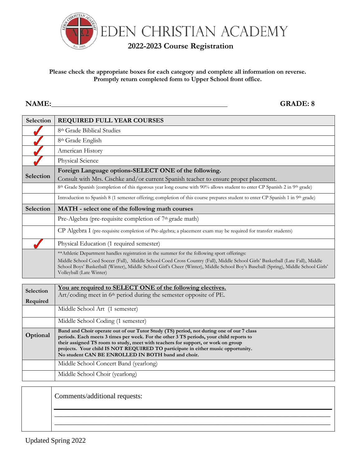

## **Please check the appropriate boxes for each category and complete all information on reverse. Promptly return completed form to Upper School front office.**

**NAME: GRADE: 8**

| Selection | <b>REQUIRED FULL YEAR COURSES</b>                                                                                                                                                                                                                                                                                                                                                                                  |  |  |  |
|-----------|--------------------------------------------------------------------------------------------------------------------------------------------------------------------------------------------------------------------------------------------------------------------------------------------------------------------------------------------------------------------------------------------------------------------|--|--|--|
|           | 8th Grade Biblical Studies                                                                                                                                                                                                                                                                                                                                                                                         |  |  |  |
|           | 8 <sup>th</sup> Grade English                                                                                                                                                                                                                                                                                                                                                                                      |  |  |  |
|           | American History                                                                                                                                                                                                                                                                                                                                                                                                   |  |  |  |
|           | Physical Science                                                                                                                                                                                                                                                                                                                                                                                                   |  |  |  |
| Selection | Foreign Language options-SELECT ONE of the following.<br>Consult with Mrs. Cischke and/or current Spanish teacher to ensure proper placement.                                                                                                                                                                                                                                                                      |  |  |  |
|           | 8th Grade Spanish (completion of this rigorous year long course with 90% allows student to enter CP Spanish 2 in 9th grade)                                                                                                                                                                                                                                                                                        |  |  |  |
|           | Introduction to Spanish 8 (1 semester offering; completion of this course prepares student to enter CP Spanish 1 in 9th grade)                                                                                                                                                                                                                                                                                     |  |  |  |
| Selection | MATH - select one of the following math courses                                                                                                                                                                                                                                                                                                                                                                    |  |  |  |
|           | Pre-Algebra (pre-requisite completion of 7 <sup>th</sup> grade math)                                                                                                                                                                                                                                                                                                                                               |  |  |  |
|           | CP Algebra I (pre-requisite completion of Pre-algebra; a placement exam may be required for transfer students)                                                                                                                                                                                                                                                                                                     |  |  |  |
|           | Physical Education (1 required semester)                                                                                                                                                                                                                                                                                                                                                                           |  |  |  |
|           | ** Athletic Department handles registration in the summer for the following sport offerings:<br>Middle School Coed Soccer (Fall), Middle School Coed Cross Country (Fall), Middle School Girls' Basketball (Late Fall), Middle<br>School Boys' Basketball (Winter), Middle School Girl's Cheer (Winter), Middle School Boy's Baseball (Spring), Middle School Girls'<br>Volleyball (Late Winter)                   |  |  |  |
|           |                                                                                                                                                                                                                                                                                                                                                                                                                    |  |  |  |
| Selection | You are required to SELECT ONE of the following electives.<br>Art/coding meet in 6 <sup>th</sup> period during the semester opposite of PE.                                                                                                                                                                                                                                                                        |  |  |  |
| Required  | Middle School Art (1 semester)                                                                                                                                                                                                                                                                                                                                                                                     |  |  |  |
|           |                                                                                                                                                                                                                                                                                                                                                                                                                    |  |  |  |
|           | Middle School Coding (1 semester)                                                                                                                                                                                                                                                                                                                                                                                  |  |  |  |
| Optional  | Band and Choir operate out of our Tutor Study (TS) period, not during one of our 7 class<br>periods. Each meets 3 times per week. For the other 3 TS periods, your child reports to<br>their assigned TS room to study, meet with teachers for support, or work on group<br>projects. Your child IS NOT REQUIRED TO participate in either music opportunity.<br>No student CAN BE ENROLLED IN BOTH band and choir. |  |  |  |
|           | Middle School Concert Band (yearlong)                                                                                                                                                                                                                                                                                                                                                                              |  |  |  |
|           | Middle School Choir (yearlong)                                                                                                                                                                                                                                                                                                                                                                                     |  |  |  |
|           |                                                                                                                                                                                                                                                                                                                                                                                                                    |  |  |  |

| Comments/additional requests: |
|-------------------------------|
|                               |